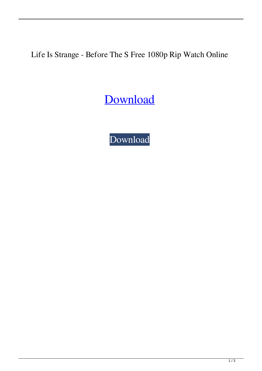Life Is Strange - Before The S Free 1080p Rip Watch Online

[Download](http://evacdir.com/ZG93bmxvYWR8R00wTVdGcGVYeDhNVFkxTWpjME1EZzJObng4TWpVM05IeDhLRTBwSUhKbFlXUXRZbXh2WnlCYlJtRnpkQ0JIUlU1ZA/cpca/fingernal.lcdr?hulme=overhanging&passionately=TGlmZSBpcyBTdHJhbmdlIC0gQmVmb3JlIHRoZSBTdG9ybSBFMSBFMiBQQyBnYW1lIF5ebm9zVEVBTV5eUk8gd2l0aG91dCBodW1hbiB2ZXJpZmljYXRpb24TGl&&)

[Download](http://evacdir.com/ZG93bmxvYWR8R00wTVdGcGVYeDhNVFkxTWpjME1EZzJObng4TWpVM05IeDhLRTBwSUhKbFlXUXRZbXh2WnlCYlJtRnpkQ0JIUlU1ZA/cpca/fingernal.lcdr?hulme=overhanging&passionately=TGlmZSBpcyBTdHJhbmdlIC0gQmVmb3JlIHRoZSBTdG9ybSBFMSBFMiBQQyBnYW1lIF5ebm9zVEVBTV5eUk8gd2l0aG91dCBodW1hbiB2ZXJpZmljYXRpb24TGl&&)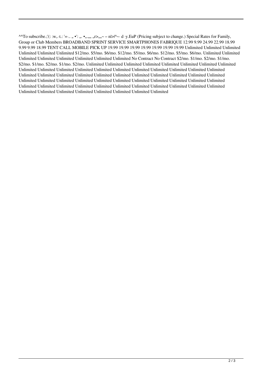^^To subscribe.;'(: :w,.·t.: '=·.. " •': ". •"."" "r>""~ – n|>|^~· d ·y.EuP (Pricing subject to change.) Special Rates for Family, Group or Club Members BROADBAND SPRINT SERVICE SMARTPHONES FABRIQUE 12.99 9.99 24.99 22.99 18.99 9.99 9.99 18.99 TENT CALL MOBILE PICK UP 19.99 19.99 19.99 19.99 19.99 19.99 19.99 Unlimited Unlimited Unlimited Unlimited Unlimited Unlimited \$12/mo. \$5/mo. \$6/mo. \$12/mo. \$5/mo. \$6/mo. \$12/mo. \$5/mo. \$6/mo. Unlimited Unlimited Unlimited Unlimited Unlimited Unlimited Unlimited Unlimited No Contract No Contract \$2/mo. \$1/mo. \$2/mo. \$1/mo. \$2/mo. \$1/mo. \$2/mo. \$1/mo. \$2/mo. Unlimited Unlimited Unlimited Unlimited Unlimited Unlimited Unlimited Unlimited Unlimited Unlimited Unlimited Unlimited Unlimited Unlimited Unlimited Unlimited Unlimited Unlimited Unlimited Unlimited Unlimited Unlimited Unlimited Unlimited Unlimited Unlimited Unlimited Unlimited Unlimited Unlimited Unlimited Unlimited Unlimited Unlimited Unlimited Unlimited Unlimited Unlimited Unlimited Unlimited Unlimited Unlimited Unlimited Unlimited Unlimited Unlimited Unlimited Unlimited Unlimited Unlimited Unlimited Unlimited Unlimited Unlimited Unlimited Unlimited Unlimited Unlimited Unlimited Unlimited